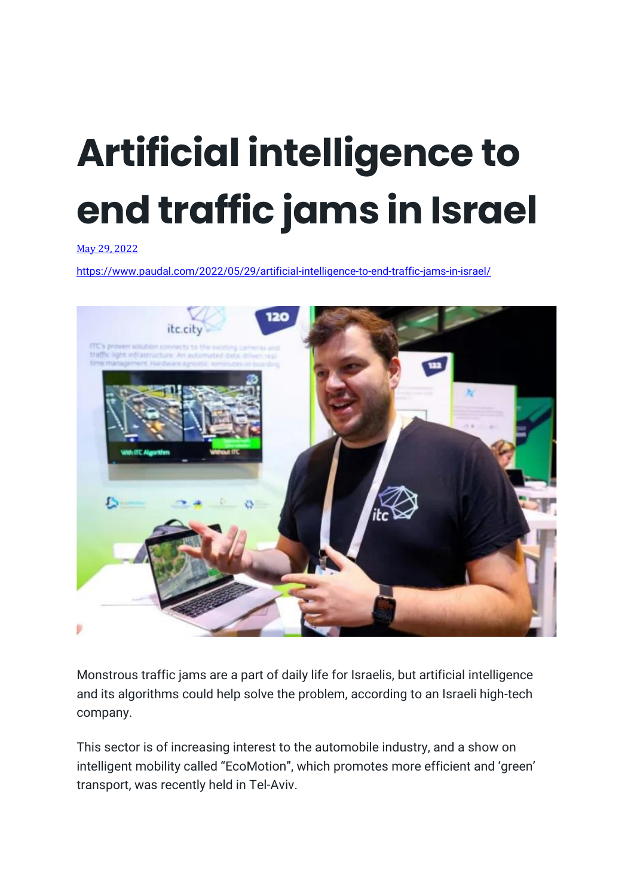## **Artificial intelligence to end traffic jams in Israel**

May 29, [2022](https://www.paudal.com/2022/05/29/artificial-intelligence-to-end-traffic-jams-in-israel/)

<https://www.paudal.com/2022/05/29/artificial-intelligence-to-end-traffic-jams-in-israel/>



Monstrous traffic jams are a part of daily life for Israelis, but artificial intelligence and its algorithms could help solve the problem, according to an Israeli high-tech company.

This sector is of increasing interest to the automobile industry, and a show on intelligent mobility called "EcoMotion", which promotes more efficient and 'green' transport, was recently held in Tel-Aviv.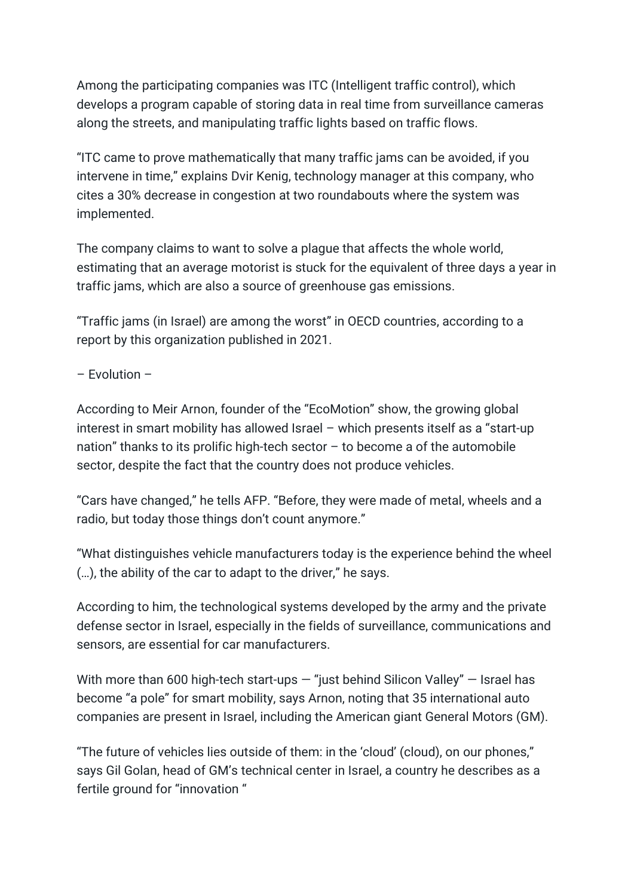Among the participating companies was ITC (Intelligent traffic control), which develops a program capable of storing data in real time from surveillance cameras along the streets, and manipulating traffic lights based on traffic flows.

"ITC came to prove mathematically that many traffic jams can be avoided, if you intervene in time," explains Dvir Kenig, technology manager at this company, who cites a 30% decrease in congestion at two roundabouts where the system was implemented.

The company claims to want to solve a plague that affects the whole world, estimating that an average motorist is stuck for the equivalent of three days a year in traffic jams, which are also a source of greenhouse gas emissions.

"Traffic jams (in Israel) are among the worst" in OECD countries, according to a report by this organization published in 2021.

 $-$  Fvolution  $-$ 

According to Meir Arnon, founder of the "EcoMotion" show, the growing global interest in smart mobility has allowed Israel – which presents itself as a "start-up nation" thanks to its prolific high-tech sector – to become a of the automobile sector, despite the fact that the country does not produce vehicles.

"Cars have changed," he tells AFP. "Before, they were made of metal, wheels and a radio, but today those things don't count anymore."

"What distinguishes vehicle manufacturers today is the experience behind the wheel (…), the ability of the car to adapt to the driver," he says.

According to him, the technological systems developed by the army and the private defense sector in Israel, especially in the fields of surveillance, communications and sensors, are essential for car manufacturers.

With more than 600 high-tech start-ups  $-$  "just behind Silicon Valley"  $-$  Israel has become "a pole" for smart mobility, says Arnon, noting that 35 international auto companies are present in Israel, including the American giant General Motors (GM).

"The future of vehicles lies outside of them: in the 'cloud' (cloud), on our phones," says Gil Golan, head of GM's technical center in Israel, a country he describes as a fertile ground for "innovation "